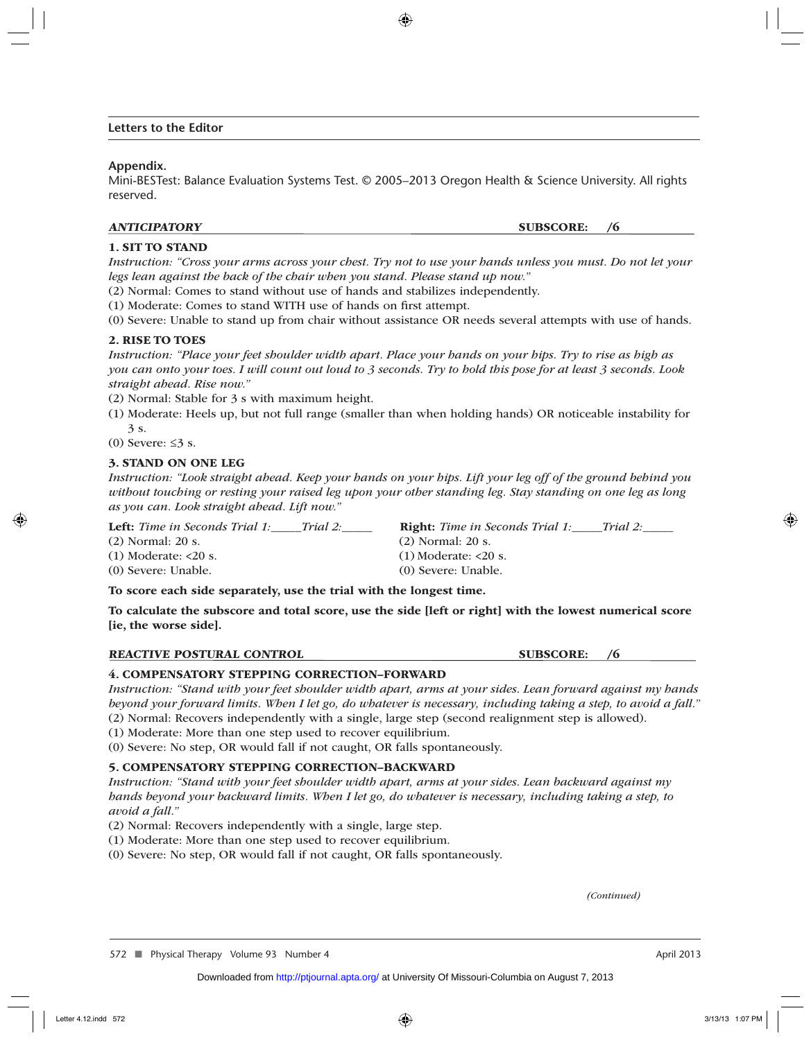#### **Letters to the Editor**

#### **Appendix.**

Mini-BESTest: Balance Evaluation Systems Test. © 2005–2013 Oregon Health & Science University. All rights reserved.

#### ANTICIPATORY SUBSCORE: /6

#### 1. SIT TO STAND

*Instruction: "Cross your arms across your chest. Try not to use your hands unless you must. Do not let your legs lean against the back of the chair when you stand. Please stand up now."*

(2) Normal: Comes to stand without use of hands and stabilizes independently.

(1) Moderate: Comes to stand WITH use of hands on first attempt.

(0) Severe: Unable to stand up from chair without assistance OR needs several attempts with use of hands.

#### 2. RISE TO TOES

*Instruction: "Place your feet shoulder width apart. Place your hands on your hips. Try to rise as high as you can onto your toes. I will count out loud to 3 seconds. Try to hold this pose for at least 3 seconds. Look straight ahead. Rise now."*

(2) Normal: Stable for 3 s with maximum height.

(1) Moderate: Heels up, but not full range (smaller than when holding hands) OR noticeable instability for 3 s.

(0) Severe:  $\leq$ 3 s.

#### 3. STAND ON ONE LEG

*Instruction: "Look straight ahead. Keep your hands on your hips. Lift your leg off of the ground behind you without touching or resting your raised leg upon your other standing leg. Stay standing on one leg as long as you can. Look straight ahead. Lift now."*

Left: *Time in Seconds Trial 1:\_\_\_\_Trial 2:\_\_\_\_* Right: *Time in Seconds Trial 1:\_\_\_\_Trial 2:\_\_\_* 

(2) Normal: 20 s. (2) Normal: 20 s. (1) Moderate: <20 s. (1) Moderate: <20 s. (0) Severe: Unable. (0) Severe: Unable.

To score each side separately, use the trial with the longest time.

To calculate the subscore and total score, use the side [left or right] with the lowest numerical score [ie, the worse side].

REACTIVE POSTURAL CONTROL SUBSCORE: /6

#### 4. COMPENSATORY STEPPING CORRECTION–FORWARD

*Instruction: "Stand with your feet shoulder width apart, arms at your sides. Lean forward against my hands beyond your forward limits. When I let go, do whatever is necessary, including taking a step, to avoid a fall."* (2) Normal: Recovers independently with a single, large step (second realignment step is allowed).

(1) Moderate: More than one step used to recover equilibrium.

(0) Severe: No step, OR would fall if not caught, OR falls spontaneously.

#### 5. COMPENSATORY STEPPING CORRECTION–BACKWARD

*Instruction: "Stand with your feet shoulder width apart, arms at your sides. Lean backward against my hands beyond your backward limits. When I let go, do whatever is necessary, including taking a step, to avoid a fall."*

(2) Normal: Recovers independently with a single, large step.

(1) Moderate: More than one step used to recover equilibrium.

(0) Severe: No step, OR would fall if not caught, OR falls spontaneously.

*(Continued)*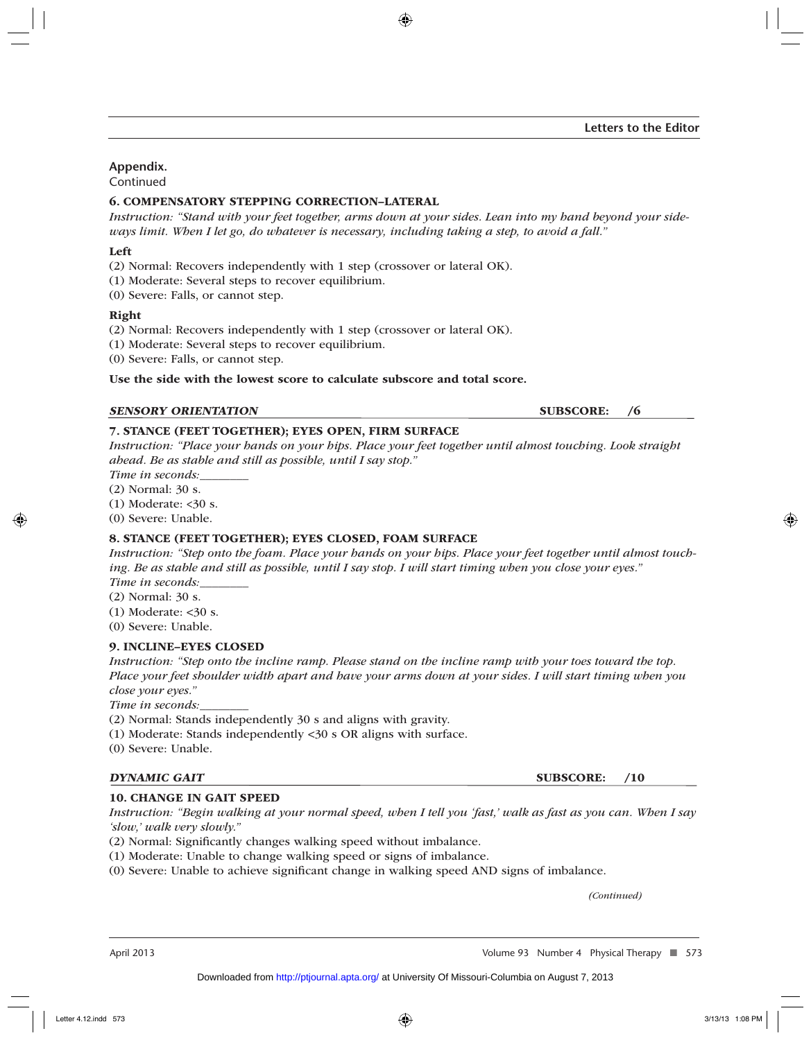# **Appendix.**

Continued

## 6. COMPENSATORY STEPPING CORRECTION–LATERAL

*Instruction: "Stand with your feet together, arms down at your sides. Lean into my hand beyond your sideways limit. When I let go, do whatever is necessary, including taking a step, to avoid a fall."*

## Left

(2) Normal: Recovers independently with 1 step (crossover or lateral OK).

(1) Moderate: Several steps to recover equilibrium.

(0) Severe: Falls, or cannot step.

## Right

(2) Normal: Recovers independently with 1 step (crossover or lateral OK).

(1) Moderate: Several steps to recover equilibrium.

(0) Severe: Falls, or cannot step.

Use the side with the lowest score to calculate subscore and total score.

#### SENSORY ORIENTATION SUBSCORE: /6

## 7. STANCE (FEET TOGETHER); EYES OPEN, FIRM SURFACE

*Instruction: "Place your hands on your hips. Place your feet together until almost touching. Look straight ahead. Be as stable and still as possible, until I say stop."*

*Time in seconds:\_\_\_\_\_\_\_\_*

(2) Normal: 30 s.

 $(1)$  Moderate: < $30$  s.

(0) Severe: Unable.

## 8. STANCE (FEET TOGETHER); EYES CLOSED, FOAM SURFACE

*Instruction: "Step onto the foam. Place your hands on your hips. Place your feet together until almost touching. Be as stable and still as possible, until I say stop. I will start timing when you close your eyes." Time in seconds:\_\_\_\_\_\_\_\_*

(2) Normal: 30 s.

 $(1)$  Moderate: <30 s.

(0) Severe: Unable.

## 9. INCLINE–EYES CLOSED

*Instruction: "Step onto the incline ramp. Please stand on the incline ramp with your toes toward the top. Place your feet shoulder width apart and have your arms down at your sides. I will start timing when you close your eyes."*

*Time in seconds:* 

(2) Normal: Stands independently 30 s and aligns with gravity.

(1) Moderate: Stands independently <30 s OR aligns with surface.

(0) Severe: Unable.

#### DYNAMIC GAIT SUBSCORE: /10

## 10. CHANGE IN GAIT SPEED

*Instruction: "Begin walking at your normal speed, when I tell you 'fast,' walk as fast as you can. When I say 'slow,' walk very slowly."*

(2) Normal: Significantly changes walking speed without imbalance.

- (1) Moderate: Unable to change walking speed or signs of imbalance.
- (0) Severe: Unable to achieve significant change in walking speed AND signs of imbalance.

*(Continued)*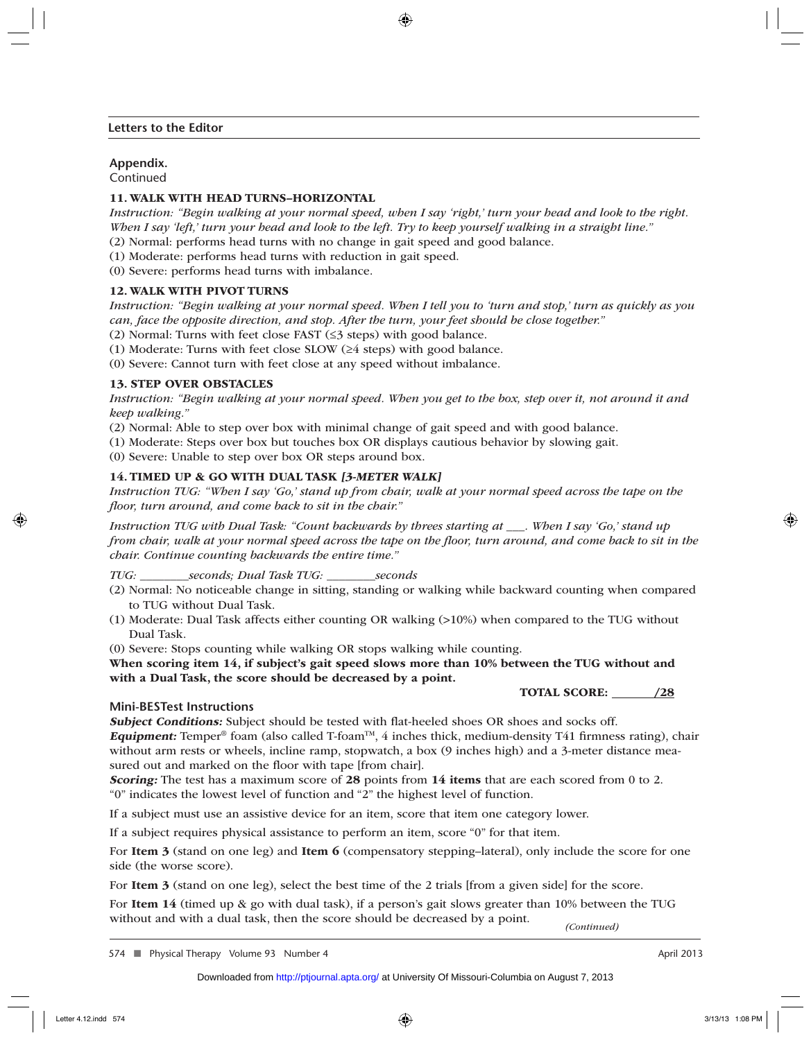#### **Letters to the Editor**

## **Appendix.**

Continued

## 11. WALK WITH HEAD TURNS–HORIZONTAL

*Instruction: "Begin walking at your normal speed, when I say 'right,' turn your head and look to the right. When I say 'left,' turn your head and look to the left. Try to keep yourself walking in a straight line."*

(2) Normal: performs head turns with no change in gait speed and good balance.

(1) Moderate: performs head turns with reduction in gait speed.

(0) Severe: performs head turns with imbalance.

## 12. WALK WITH PIVOT TURNS

*Instruction: "Begin walking at your normal speed. When I tell you to 'turn and stop,' turn as quickly as you can, face the opposite direction, and stop. After the turn, your feet should be close together."*

(2) Normal: Turns with feet close FAST  $(\leq$ 3 steps) with good balance.

(1) Moderate: Turns with feet close SLOW (≥4 steps) with good balance.

(0) Severe: Cannot turn with feet close at any speed without imbalance.

## 13. STEP OVER OBSTACLES

*Instruction: "Begin walking at your normal speed. When you get to the box, step over it, not around it and keep walking."*

(2) Normal: Able to step over box with minimal change of gait speed and with good balance.

(1) Moderate: Steps over box but touches box OR displays cautious behavior by slowing gait.

(0) Severe: Unable to step over box OR steps around box.

## 14. TIMED UP & GO WITH DUAL TASK [3-METER WALK]

*Instruction TUG: "When I say 'Go,' stand up from chair, walk at your normal speed across the tape on the fl oor, turn around, and come back to sit in the chair."*

*Instruction TUG with Dual Task: "Count backwards by threes starting at \_\_\_. When I say 'Go,' stand up from chair, walk at your normal speed across the tape on the floor, turn around, and come back to sit in the chair. Continue counting backwards the entire time."*

*TUG: \_\_\_\_\_\_\_\_seconds; Dual Task TUG: \_\_\_\_\_\_\_\_seconds*

- (2) Normal: No noticeable change in sitting, standing or walking while backward counting when compared to TUG without Dual Task.
- (1) Moderate: Dual Task affects either counting OR walking (>10%) when compared to the TUG without Dual Task.

(0) Severe: Stops counting while walking OR stops walking while counting.

When scoring item 14, if subject's gait speed slows more than 10% between the TUG without and with a Dual Task, the score should be decreased by a point.

TOTAL SCORE: /28

## **Mini-BESTest Instructions**

Subject Conditions: Subject should be tested with flat-heeled shoes OR shoes and socks off.

**Equipment:** Temper<sup>®</sup> foam (also called T-foam<sup>TM</sup>, 4 inches thick, medium-density T41 firmness rating), chair without arm rests or wheels, incline ramp, stopwatch, a box (9 inches high) and a 3-meter distance measured out and marked on the floor with tape [from chair].

Scoring: The test has a maximum score of 28 points from 14 items that are each scored from 0 to 2. "0" indicates the lowest level of function and "2" the highest level of function.

If a subject must use an assistive device for an item, score that item one category lower.

If a subject requires physical assistance to perform an item, score "0" for that item.

For Item 3 (stand on one leg) and Item 6 (compensatory stepping–lateral), only include the score for one side (the worse score).

For Item 3 (stand on one leg), select the best time of the 2 trials [from a given side] for the score.

For Item 14 (timed up & go with dual task), if a person's gait slows greater than 10% between the TUG without and with a dual task, then the score should be decreased by a point. *(Continued)*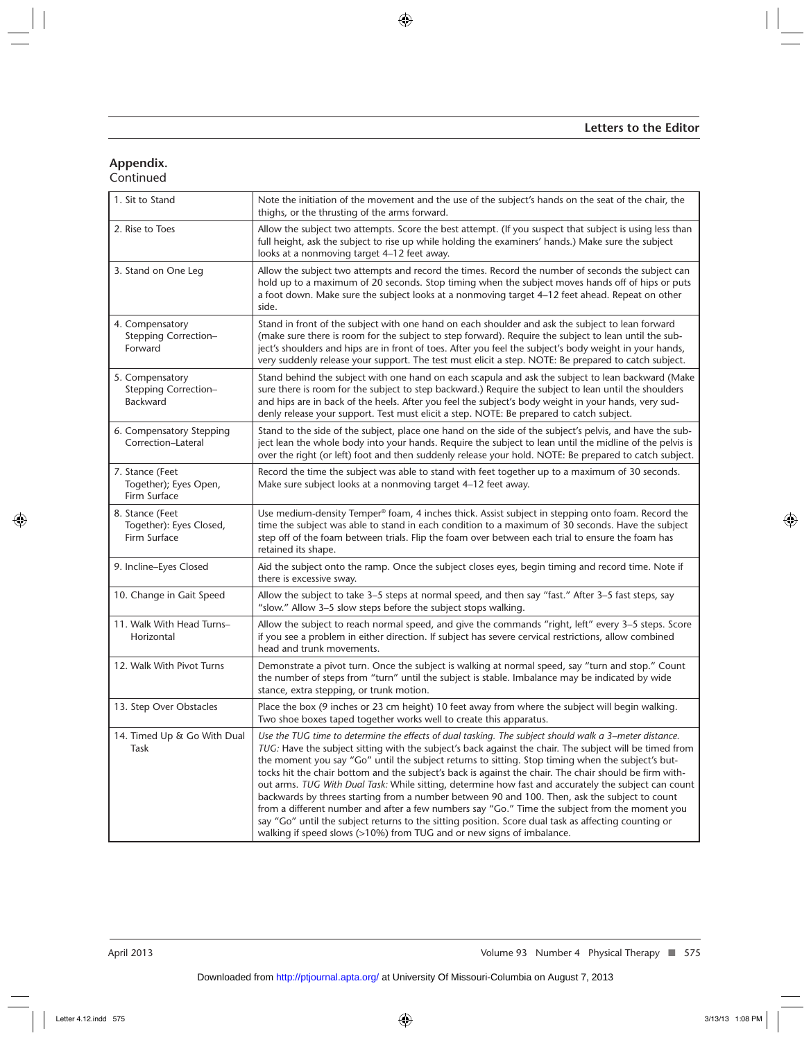# **Appendix.**

Continued

| 1. Sit to Stand                                            | Note the initiation of the movement and the use of the subject's hands on the seat of the chair, the<br>thighs, or the thrusting of the arms forward.                                                                                                                                                                                                                                                                                                                                                                                                                                                                                                                                                                                                                                                                                                                                                                        |
|------------------------------------------------------------|------------------------------------------------------------------------------------------------------------------------------------------------------------------------------------------------------------------------------------------------------------------------------------------------------------------------------------------------------------------------------------------------------------------------------------------------------------------------------------------------------------------------------------------------------------------------------------------------------------------------------------------------------------------------------------------------------------------------------------------------------------------------------------------------------------------------------------------------------------------------------------------------------------------------------|
| 2. Rise to Toes                                            | Allow the subject two attempts. Score the best attempt. (If you suspect that subject is using less than<br>full height, ask the subject to rise up while holding the examiners' hands.) Make sure the subject<br>looks at a nonmoving target 4-12 feet away.                                                                                                                                                                                                                                                                                                                                                                                                                                                                                                                                                                                                                                                                 |
| 3. Stand on One Leg                                        | Allow the subject two attempts and record the times. Record the number of seconds the subject can<br>hold up to a maximum of 20 seconds. Stop timing when the subject moves hands off of hips or puts<br>a foot down. Make sure the subject looks at a nonmoving target 4-12 feet ahead. Repeat on other<br>side.                                                                                                                                                                                                                                                                                                                                                                                                                                                                                                                                                                                                            |
| 4. Compensatory<br>Stepping Correction-<br>Forward         | Stand in front of the subject with one hand on each shoulder and ask the subject to lean forward<br>(make sure there is room for the subject to step forward). Require the subject to lean until the sub-<br>ject's shoulders and hips are in front of toes. After you feel the subject's body weight in your hands,<br>very suddenly release your support. The test must elicit a step. NOTE: Be prepared to catch subject.                                                                                                                                                                                                                                                                                                                                                                                                                                                                                                 |
| 5. Compensatory<br>Stepping Correction-<br><b>Backward</b> | Stand behind the subject with one hand on each scapula and ask the subject to lean backward (Make<br>sure there is room for the subject to step backward.) Require the subject to lean until the shoulders<br>and hips are in back of the heels. After you feel the subject's body weight in your hands, very sud-<br>denly release your support. Test must elicit a step. NOTE: Be prepared to catch subject.                                                                                                                                                                                                                                                                                                                                                                                                                                                                                                               |
| 6. Compensatory Stepping<br>Correction-Lateral             | Stand to the side of the subject, place one hand on the side of the subject's pelvis, and have the sub-<br>ject lean the whole body into your hands. Require the subject to lean until the midline of the pelvis is<br>over the right (or left) foot and then suddenly release your hold. NOTE: Be prepared to catch subject.                                                                                                                                                                                                                                                                                                                                                                                                                                                                                                                                                                                                |
| 7. Stance (Feet<br>Together); Eyes Open,<br>Firm Surface   | Record the time the subject was able to stand with feet together up to a maximum of 30 seconds.<br>Make sure subject looks at a nonmoving target 4-12 feet away.                                                                                                                                                                                                                                                                                                                                                                                                                                                                                                                                                                                                                                                                                                                                                             |
| 8. Stance (Feet<br>Together): Eyes Closed,<br>Firm Surface | Use medium-density Temper® foam, 4 inches thick. Assist subject in stepping onto foam. Record the<br>time the subject was able to stand in each condition to a maximum of 30 seconds. Have the subject<br>step off of the foam between trials. Flip the foam over between each trial to ensure the foam has<br>retained its shape.                                                                                                                                                                                                                                                                                                                                                                                                                                                                                                                                                                                           |
| 9. Incline-Eyes Closed                                     | Aid the subject onto the ramp. Once the subject closes eyes, begin timing and record time. Note if<br>there is excessive sway.                                                                                                                                                                                                                                                                                                                                                                                                                                                                                                                                                                                                                                                                                                                                                                                               |
| 10. Change in Gait Speed                                   | Allow the subject to take 3-5 steps at normal speed, and then say "fast." After 3-5 fast steps, say<br>"slow." Allow 3-5 slow steps before the subject stops walking.                                                                                                                                                                                                                                                                                                                                                                                                                                                                                                                                                                                                                                                                                                                                                        |
| 11. Walk With Head Turns-<br>Horizontal                    | Allow the subject to reach normal speed, and give the commands "right, left" every 3-5 steps. Score<br>if you see a problem in either direction. If subject has severe cervical restrictions, allow combined<br>head and trunk movements.                                                                                                                                                                                                                                                                                                                                                                                                                                                                                                                                                                                                                                                                                    |
| 12. Walk With Pivot Turns                                  | Demonstrate a pivot turn. Once the subject is walking at normal speed, say "turn and stop." Count<br>the number of steps from "turn" until the subject is stable. Imbalance may be indicated by wide<br>stance, extra stepping, or trunk motion.                                                                                                                                                                                                                                                                                                                                                                                                                                                                                                                                                                                                                                                                             |
| 13. Step Over Obstacles                                    | Place the box (9 inches or 23 cm height) 10 feet away from where the subject will begin walking.<br>Two shoe boxes taped together works well to create this apparatus.                                                                                                                                                                                                                                                                                                                                                                                                                                                                                                                                                                                                                                                                                                                                                       |
| 14. Timed Up & Go With Dual<br>Task                        | Use the TUG time to determine the effects of dual tasking. The subject should walk a 3-meter distance.<br>TUG: Have the subject sitting with the subject's back against the chair. The subject will be timed from<br>the moment you say "Go" until the subject returns to sitting. Stop timing when the subject's but-<br>tocks hit the chair bottom and the subject's back is against the chair. The chair should be firm with-<br>out arms. TUG With Dual Task: While sitting, determine how fast and accurately the subject can count<br>backwards by threes starting from a number between 90 and 100. Then, ask the subject to count<br>from a different number and after a few numbers say "Go." Time the subject from the moment you<br>say "Go" until the subject returns to the sitting position. Score dual task as affecting counting or<br>walking if speed slows (>10%) from TUG and or new signs of imbalance. |